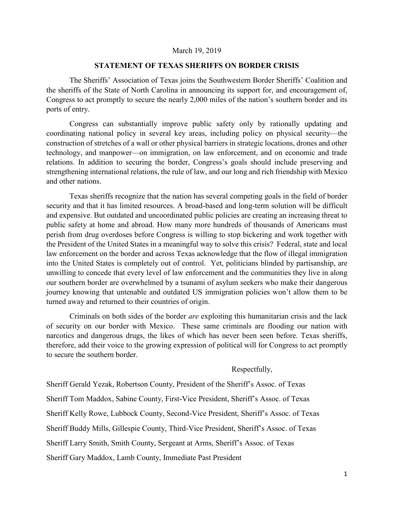## March 19, 2019

## **STATEMENT OF TEXAS SHERIFFS ON BORDER CRISIS**

The Sheriffs' Association of Texas joins the Southwestern Border Sheriffs' Coalition and the sheriffs of the State of North Carolina in announcing its support for, and encouragement of, Congress to act promptly to secure the nearly 2,000 miles of the nation's southern border and its ports of entry.

Congress can substantially improve public safety only by rationally updating and coordinating national policy in several key areas, including policy on physical security—the construction of stretches of a wall or other physical barriers in strategic locations, drones and other technology, and manpower—on immigration, on law enforcement, and on economic and trade relations. In addition to securing the border, Congress's goals should include preserving and strengthening international relations, the rule of law, and our long and rich friendship with Mexico and other nations.

Texas sheriffs recognize that the nation has several competing goals in the field of border security and that it has limited resources. A broad-based and long-term solution will be difficult and expensive. But outdated and uncoordinated public policies are creating an increasing threat to public safety at home and abroad. How many more hundreds of thousands of Americans must perish from drug overdoses before Congress is willing to stop bickering and work together with the President of the United States in a meaningful way to solve this crisis? Federal, state and local law enforcement on the border and across Texas acknowledge that the flow of illegal immigration into the United States is completely out of control. Yet, politicians blinded by partisanship, are unwilling to concede that every level of law enforcement and the communities they live in along our southern border are overwhelmed by a tsunami of asylum seekers who make their dangerous journey knowing that untenable and outdated US immigration policies won't allow them to be turned away and returned to their countries of origin.

Criminals on both sides of the border *are* exploiting this humanitarian crisis and the lack of security on our border with Mexico. These same criminals are flooding our nation with narcotics and dangerous drugs, the likes of which has never been seen before. Texas sheriffs, therefore, add their voice to the growing expression of political will for Congress to act promptly to secure the southern border.

## Respectfully,

Sheriff Gerald Yezak, Robertson County, President of the Sheriff's Assoc. of Texas Sheriff Tom Maddox, Sabine County, First-Vice President, Sheriff's Assoc. of Texas Sheriff Kelly Rowe, Lubbock County, Second-Vice President, Sheriff's Assoc. of Texas Sheriff Buddy Mills, Gillespie County, Third-Vice President, Sheriff's Assoc. of Texas Sheriff Larry Smith, Smith County, Sergeant at Arms, Sheriff's Assoc. of Texas Sheriff Gary Maddox, Lamb County, Immediate Past President